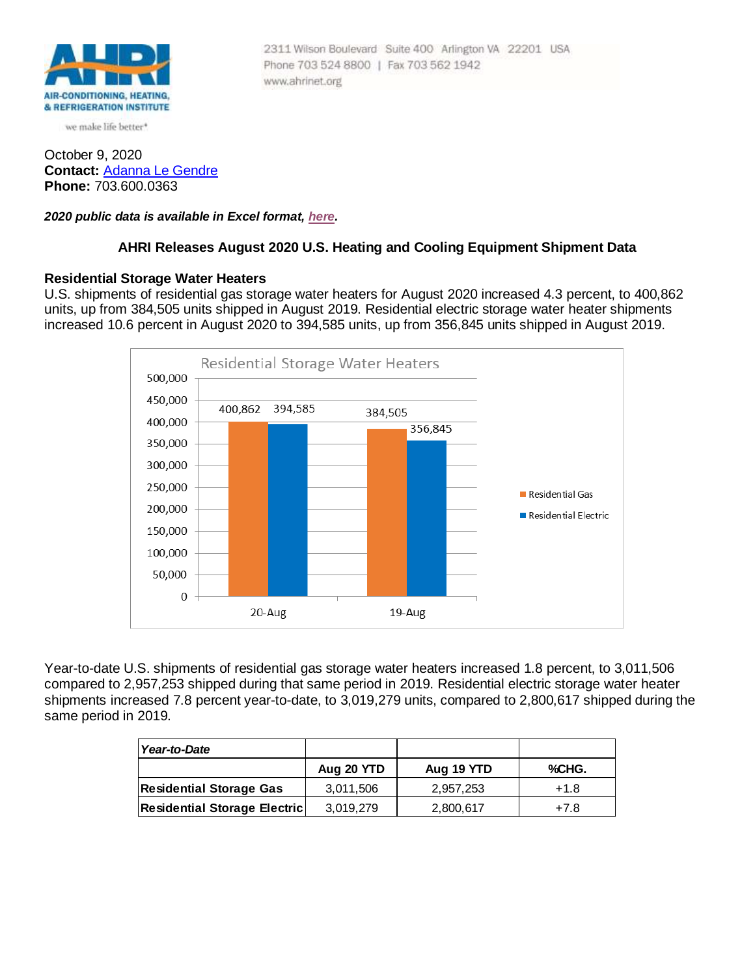

we make life better\*

October 9, 2020 **Contact:** [Adanna Le Gendre](mailto:AleGendre@ahrinet.org) **Phone:** 703.600.0363

*2020 public data is available in Excel format, [here.](http://www.ahrinet.org/App_Content/ahri/files/RESOURCES/082020PUBLIC_DATA.xls)*

### **AHRI Releases August 2020 U.S. Heating and Cooling Equipment Shipment Data**

#### **Residential Storage Water Heaters**

U.S. shipments of residential gas storage water heaters for August 2020 increased 4.3 percent, to 400,862 units, up from 384,505 units shipped in August 2019. Residential electric storage water heater shipments increased 10.6 percent in August 2020 to 394,585 units, up from 356,845 units shipped in August 2019.



Year-to-date U.S. shipments of residential gas storage water heaters increased 1.8 percent, to 3,011,506 compared to 2,957,253 shipped during that same period in 2019. Residential electric storage water heater shipments increased 7.8 percent year-to-date, to 3,019,279 units, compared to 2,800,617 shipped during the same period in 2019.

| Year-to-Date                        |            |            |        |
|-------------------------------------|------------|------------|--------|
|                                     | Aug 20 YTD | Aug 19 YTD | %CHG.  |
| <b>Residential Storage Gas</b>      | 3,011,506  | 2.957.253  | $+1.8$ |
| <b>Residential Storage Electric</b> | 3,019,279  | 2,800,617  | $+7.8$ |

2311 Wilson Boulevard Suite 400 Arlington VA 22201 USA Phone 703 524 8800 | Fax 703 562 1942 www.ahrinet.org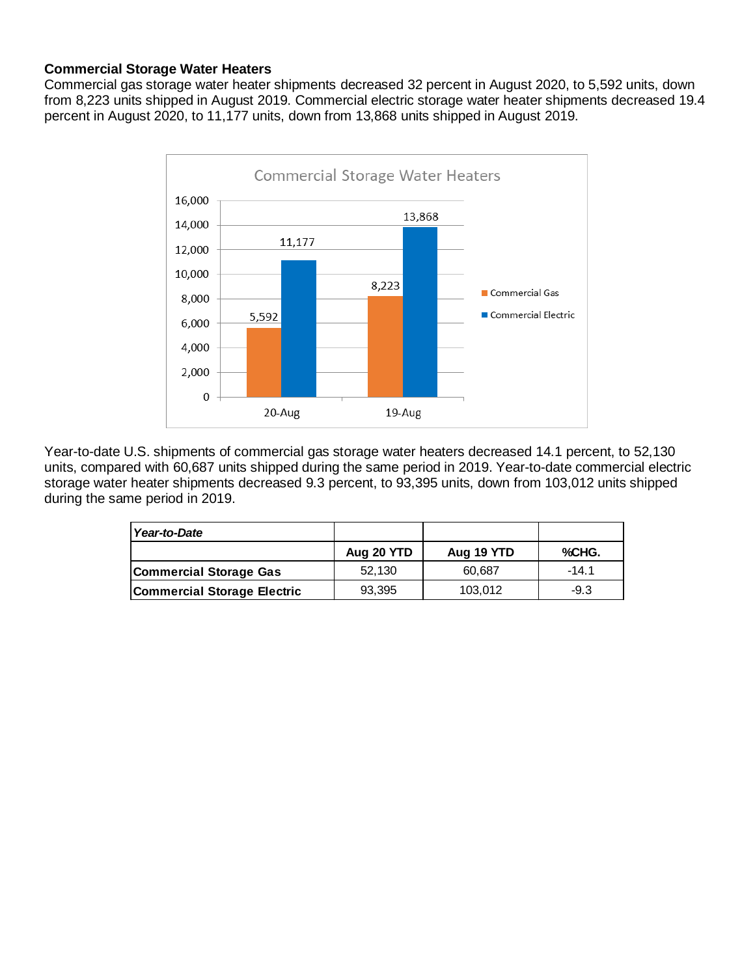# **Commercial Storage Water Heaters**

Commercial gas storage water heater shipments decreased 32 percent in August 2020, to 5,592 units, down from 8,223 units shipped in August 2019. Commercial electric storage water heater shipments decreased 19.4 percent in August 2020, to 11,177 units, down from 13,868 units shipped in August 2019.



Year-to-date U.S. shipments of commercial gas storage water heaters decreased 14.1 percent, to 52,130 units, compared with 60,687 units shipped during the same period in 2019. Year-to-date commercial electric storage water heater shipments decreased 9.3 percent, to 93,395 units, down from 103,012 units shipped during the same period in 2019.

| Year-to-Date                       |            |            |         |
|------------------------------------|------------|------------|---------|
|                                    | Aug 20 YTD | Aug 19 YTD | %CHG.   |
| <b>Commercial Storage Gas</b>      | 52.130     | 60.687     | $-14.1$ |
| <b>Commercial Storage Electric</b> | 93,395     | 103,012    | $-9.3$  |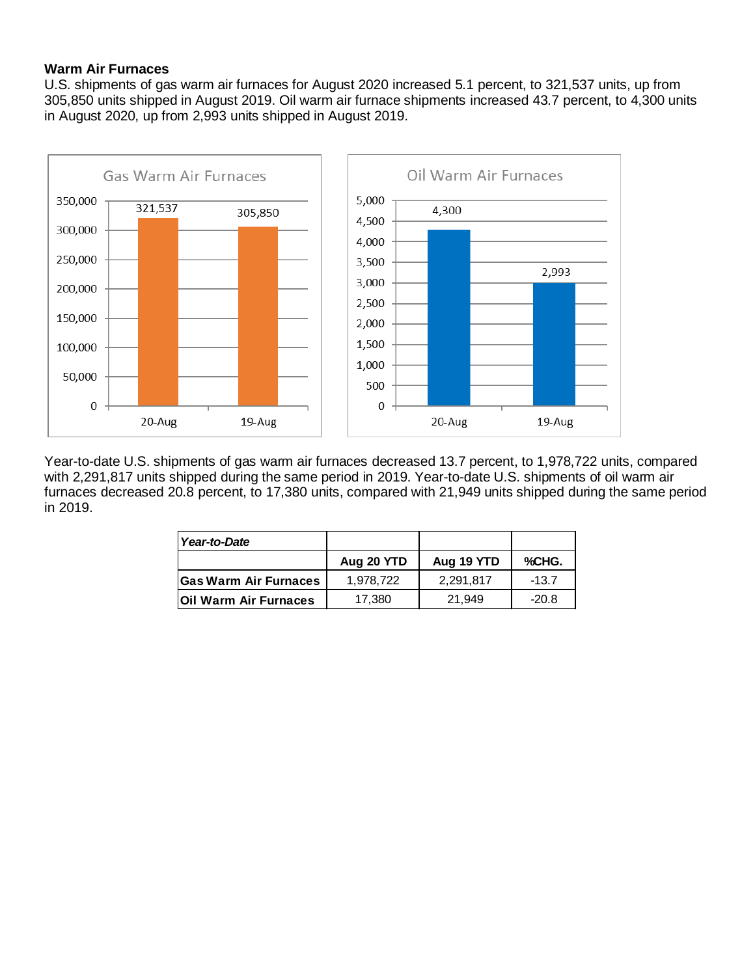# **Warm Air Furnaces**

U.S. shipments of gas warm air furnaces for August 2020 increased 5.1 percent, to 321,537 units, up from 305,850 units shipped in August 2019. Oil warm air furnace shipments increased 43.7 percent, to 4,300 units in August 2020, up from 2,993 units shipped in August 2019.



Year-to-date U.S. shipments of gas warm air furnaces decreased 13.7 percent, to 1,978,722 units, compared with 2,291,817 units shipped during the same period in 2019. Year-to-date U.S. shipments of oil warm air furnaces decreased 20.8 percent, to 17,380 units, compared with 21,949 units shipped during the same period in 2019.

| Year-to-Date                  |            |            |         |
|-------------------------------|------------|------------|---------|
|                               | Aug 20 YTD | Aug 19 YTD | %CHG.   |
| <b>Gas Warm Air Furnaces</b>  | 1.978.722  | 2.291.817  | $-13.7$ |
| <b>IOII Warm Air Furnaces</b> | 17,380     | 21.949     | $-20.8$ |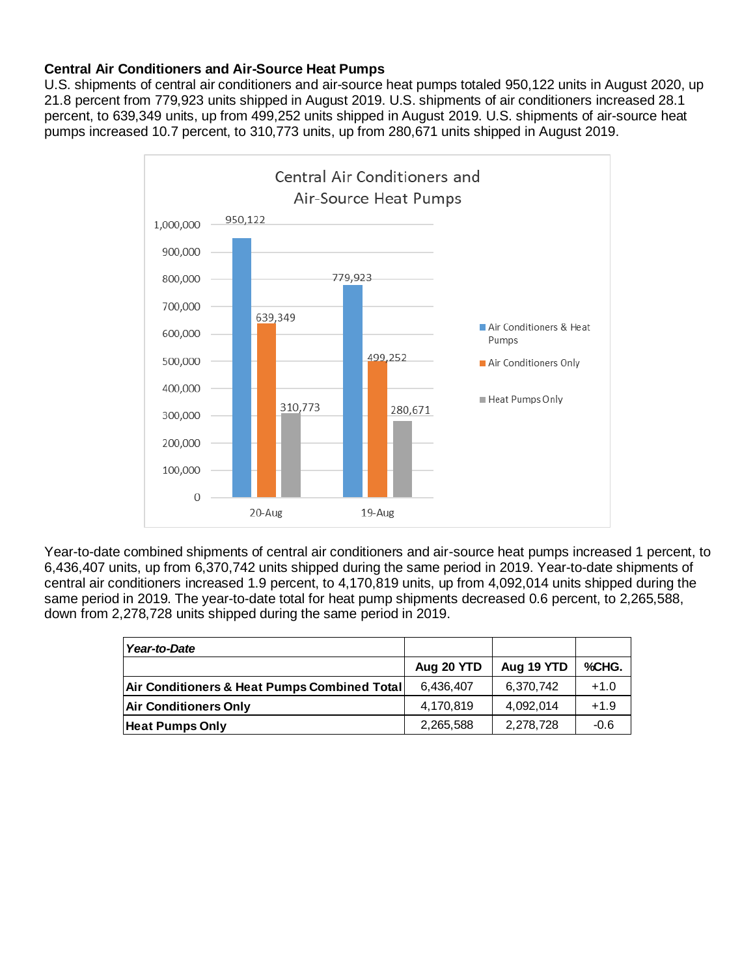# **Central Air Conditioners and Air-Source Heat Pumps**

U.S. shipments of central air conditioners and air-source heat pumps totaled 950,122 units in August 2020, up 21.8 percent from 779,923 units shipped in August 2019. U.S. shipments of air conditioners increased 28.1 percent, to 639,349 units, up from 499,252 units shipped in August 2019. U.S. shipments of air-source heat pumps increased 10.7 percent, to 310,773 units, up from 280,671 units shipped in August 2019.



Year-to-date combined shipments of central air conditioners and air-source heat pumps increased 1 percent, to 6,436,407 units, up from 6,370,742 units shipped during the same period in 2019. Year-to-date shipments of central air conditioners increased 1.9 percent, to 4,170,819 units, up from 4,092,014 units shipped during the same period in 2019. The year-to-date total for heat pump shipments decreased 0.6 percent, to 2,265,588, down from 2,278,728 units shipped during the same period in 2019.

| Year-to-Date                                 |            |            |        |
|----------------------------------------------|------------|------------|--------|
|                                              | Aug 20 YTD | Aug 19 YTD | %CHG.  |
| Air Conditioners & Heat Pumps Combined Total | 6,436,407  | 6,370,742  | $+1.0$ |
| <b>Air Conditioners Only</b>                 | 4,170,819  | 4,092,014  | $+1.9$ |
| <b>Heat Pumps Only</b>                       | 2,265,588  | 2,278,728  | $-0.6$ |